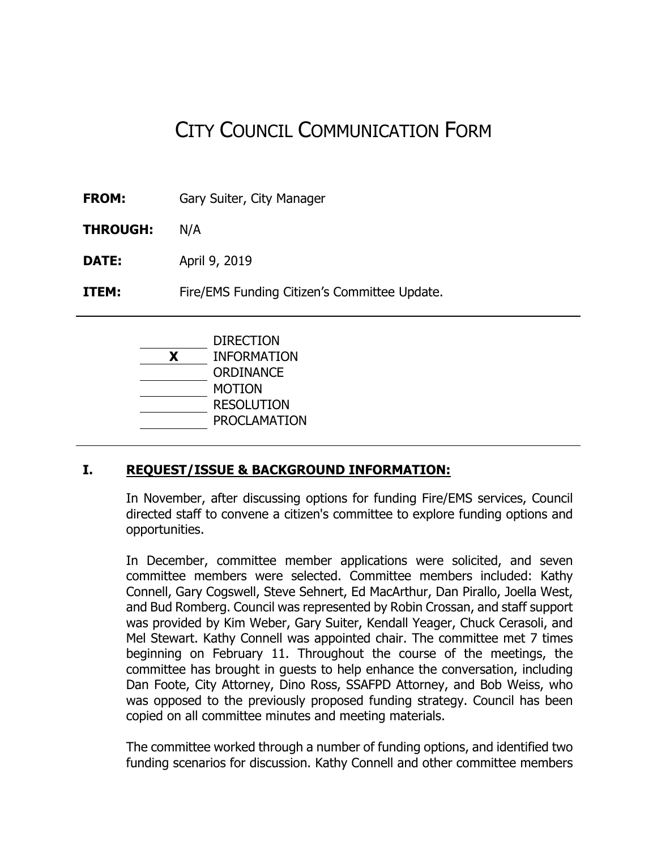# CITY COUNCIL COMMUNICATION FORM

**FROM:** Gary Suiter, City Manager

**THROUGH:** N/A

**DATE:** April 9, 2019

**ITEM:** Fire/EMS Funding Citizen's Committee Update.

DIRECTION **X** INFORMATION **ORDINANCE** MOTION RESOLUTION PROCLAMATION

# **I. REQUEST/ISSUE & BACKGROUND INFORMATION:**

In November, after discussing options for funding Fire/EMS services, Council directed staff to convene a citizen's committee to explore funding options and opportunities.

In December, committee member applications were solicited, and seven committee members were selected. Committee members included: Kathy Connell, Gary Cogswell, Steve Sehnert, Ed MacArthur, Dan Pirallo, Joella West, and Bud Romberg. Council was represented by Robin Crossan, and staff support was provided by Kim Weber, Gary Suiter, Kendall Yeager, Chuck Cerasoli, and Mel Stewart. Kathy Connell was appointed chair. The committee met 7 times beginning on February 11. Throughout the course of the meetings, the committee has brought in guests to help enhance the conversation, including Dan Foote, City Attorney, Dino Ross, SSAFPD Attorney, and Bob Weiss, who was opposed to the previously proposed funding strategy. Council has been copied on all committee minutes and meeting materials.

The committee worked through a number of funding options, and identified two funding scenarios for discussion. Kathy Connell and other committee members